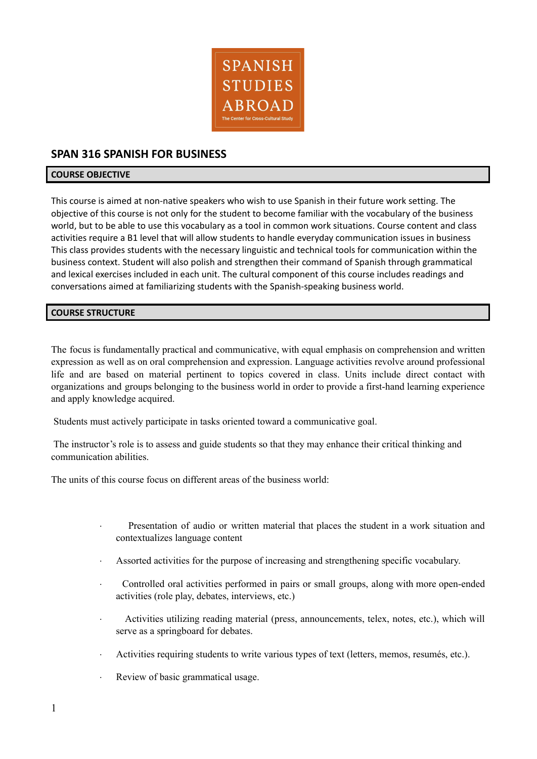

# **SPAN 316 SPANISH FOR BUSINESS**

### **COURSE OBJECTIVE**

This course is aimed at non-native speakers who wish to use Spanish in their future work setting. The objective of this course is not only for the student to become familiar with the vocabulary of the business world, but to be able to use this vocabulary as a tool in common work situations. Course content and class activities require a B1 level that will allow students to handle everyday communication issues in business This class provides students with the necessary linguistic and technical tools for communication within the business context. Student will also polish and strengthen their command of Spanish through grammatical and lexical exercises included in each unit. The cultural component of this course includes readings and conversations aimed at familiarizing students with the Spanish-speaking business world.

### **COURSE STRUCTURE**

The focus is fundamentally practical and communicative, with equal emphasis on comprehension and written expression as well as on oral comprehension and expression. Language activities revolve around professional life and are based on material pertinent to topics covered in class. Units include direct contact with organizations and groups belonging to the business world in order to provide a first-hand learning experience and apply knowledge acquired.

Students must actively participate in tasks oriented toward a communicative goal.

The instructor's role is to assess and guide students so that they may enhance their critical thinking and communication abilities.

The units of this course focus on different areas of the business world:

- Presentation of audio or written material that places the student in a work situation and contextualizes language content
- · Assorted activities for the purpose of increasing and strengthening specific vocabulary.
- · Controlled oral activities performed in pairs or small groups, along with more open-ended activities (role play, debates, interviews, etc.)
- Activities utilizing reading material (press, announcements, telex, notes, etc.), which will serve as a springboard for debates.
- · Activities requiring students to write various types of text (letters, memos, resumés, etc.).
- Review of basic grammatical usage.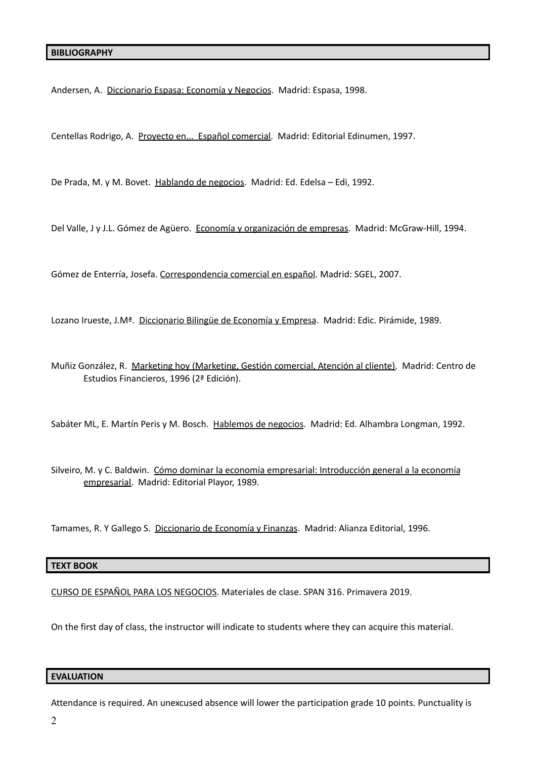Andersen, A. Diccionario Espasa: Economía y Negocios. Madrid: Espasa, 1998.

Centellas Rodrigo, A. Proyecto en... Español comercial. Madrid: Editorial Edinumen, 1997.

De Prada, M. y M. Bovet. Hablando de negocios. Madrid: Ed. Edelsa – Edi, 1992.

Del Valle, J y J.L. Gómez de Agüero. Economía y organización de empresas. Madrid: McGraw-Hill, 1994.

Gómez de Enterría, Josefa. Correspondencia comercial en español. Madrid: SGEL, 2007.

Lozano Irueste, J.M<sup>ª</sup>. Diccionario Bilingüe de Economía y Empresa. Madrid: Edic. Pirámide, 1989.

Muñiz González, R. Marketing hoy (Marketing, Gestión comercial, Atención al cliente). Madrid: Centro de Estudios Financieros, 1996 (2ª Edición).

Sabáter ML, E. Martín Peris y M. Bosch. Hablemos de negocios. Madrid: Ed. Alhambra Longman, 1992.

Silveiro, M. y C. Baldwin. Cómo dominar la economía empresarial: Introducción general a la economía empresarial. Madrid: Editorial Playor, 1989.

Tamames, R. Y Gallego S. Diccionario de Economía y Finanzas. Madrid: Alianza Editorial, 1996.

#### **TEXT BOOK**

CURSO DE ESPAÑOL PARA LOS NEGOCIOS. Materiales de clase. SPAN 316. Primavera 2019.

On the first day of class, the instructor will indicate to students where they can acquire this material.

### **EVALUATION**

Attendance is required. An unexcused absence will lower the participation grade 10 points. Punctuality is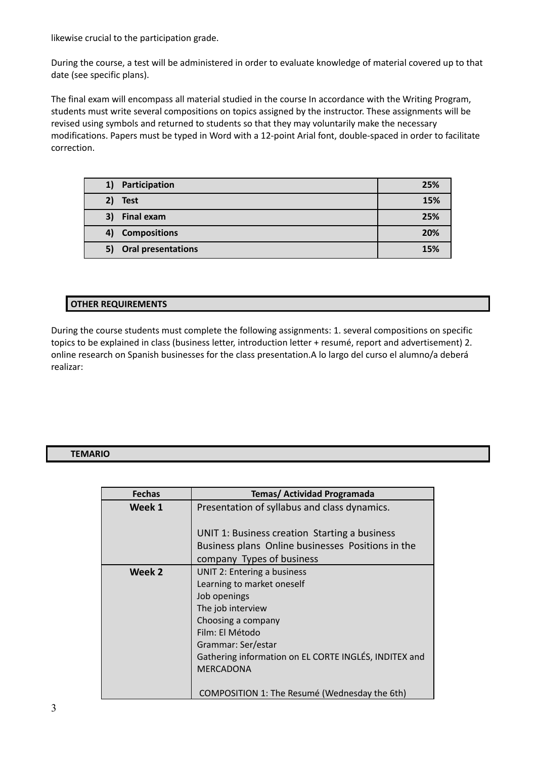likewise crucial to the participation grade.

During the course, a test will be administered in order to evaluate knowledge of material covered up to that date (see specific plans).

The final exam will encompass all material studied in the course In accordance with the Writing Program, students must write several compositions on topics assigned by the instructor. These assignments will be revised using symbols and returned to students so that they may voluntarily make the necessary modifications. Papers must be typed in Word with a 12-point Arial font, double-spaced in order to facilitate correction.

| Participation<br>1)     | 25% |
|-------------------------|-----|
| 2) Test                 | 15% |
| <b>Final exam</b><br>3) | 25% |
| 4) Compositions         | 20% |
| 5) Oral presentations   | 15% |

## **OTHER REQUIREMENTS**

During the course students must complete the following assignments: 1. several compositions on specific topics to be explained in class (business letter, introduction letter + resumé, report and advertisement) 2. online research on Spanish businesses for the class presentation.A lo largo del curso el alumno/a deberá realizar:

### **TEMARIO**

| <b>Fechas</b> | <b>Temas/ Actividad Programada</b>                    |
|---------------|-------------------------------------------------------|
| Week 1        | Presentation of syllabus and class dynamics.          |
|               |                                                       |
|               | UNIT 1: Business creation Starting a business         |
|               | Business plans Online businesses Positions in the     |
|               | company Types of business                             |
| Week 2        | UNIT 2: Entering a business                           |
|               | Learning to market oneself                            |
|               | Job openings                                          |
|               | The job interview                                     |
|               | Choosing a company                                    |
|               | Film: El Método                                       |
|               | Grammar: Ser/estar                                    |
|               | Gathering information on EL CORTE INGLÉS, INDITEX and |
|               | <b>MERCADONA</b>                                      |
|               |                                                       |
|               | COMPOSITION 1: The Resumé (Wednesday the 6th)         |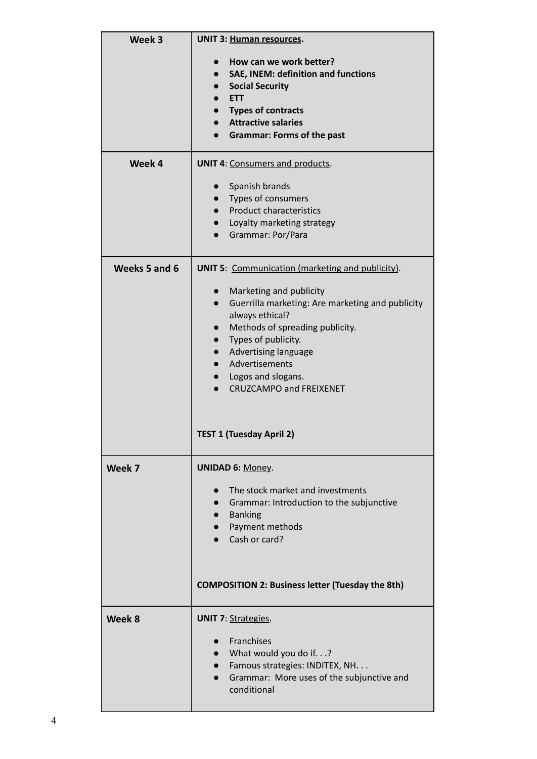| Week 3        | <b>UNIT 3: Human resources.</b>                                             |
|---------------|-----------------------------------------------------------------------------|
|               |                                                                             |
|               | How can we work better?<br>SAE, INEM: definition and functions<br>$\bullet$ |
|               | <b>Social Security</b>                                                      |
|               | <b>ETT</b>                                                                  |
|               | <b>Types of contracts</b>                                                   |
|               | <b>Attractive salaries</b>                                                  |
|               | <b>Grammar: Forms of the past</b>                                           |
| Week 4        | <b>UNIT 4: Consumers and products.</b>                                      |
|               | Spanish brands                                                              |
|               | Types of consumers                                                          |
|               | <b>Product characteristics</b>                                              |
|               | Loyalty marketing strategy<br>$\bullet$                                     |
|               | Grammar: Por/Para                                                           |
| Weeks 5 and 6 | <b>UNIT 5: Communication (marketing and publicity).</b>                     |
|               |                                                                             |
|               | Marketing and publicity                                                     |
|               | Guerrilla marketing: Are marketing and publicity<br>always ethical?         |
|               | Methods of spreading publicity.                                             |
|               | Types of publicity.                                                         |
|               | Advertising language                                                        |
|               | Advertisements                                                              |
|               | • Logos and slogans.                                                        |
|               | <b>CRUZCAMPO and FREIXENET</b>                                              |
|               |                                                                             |
|               | TEST 1 (Tuesday April 2)                                                    |
| Week 7        | <b>UNIDAD 6: Money.</b>                                                     |
|               | The stock market and investments<br>$\bullet$                               |
|               | Grammar: Introduction to the subjunctive<br>$\bullet$                       |
|               | <b>Banking</b>                                                              |
|               | Payment methods                                                             |
|               | Cash or card?                                                               |
|               |                                                                             |
|               | <b>COMPOSITION 2: Business letter (Tuesday the 8th)</b>                     |
|               |                                                                             |
| Week 8        | <b>UNIT 7: Strategies.</b>                                                  |
|               | Franchises                                                                  |
|               | What would you do if.?                                                      |
|               | Famous strategies: INDITEX, NH.                                             |
|               | Grammar: More uses of the subjunctive and                                   |
|               | conditional                                                                 |